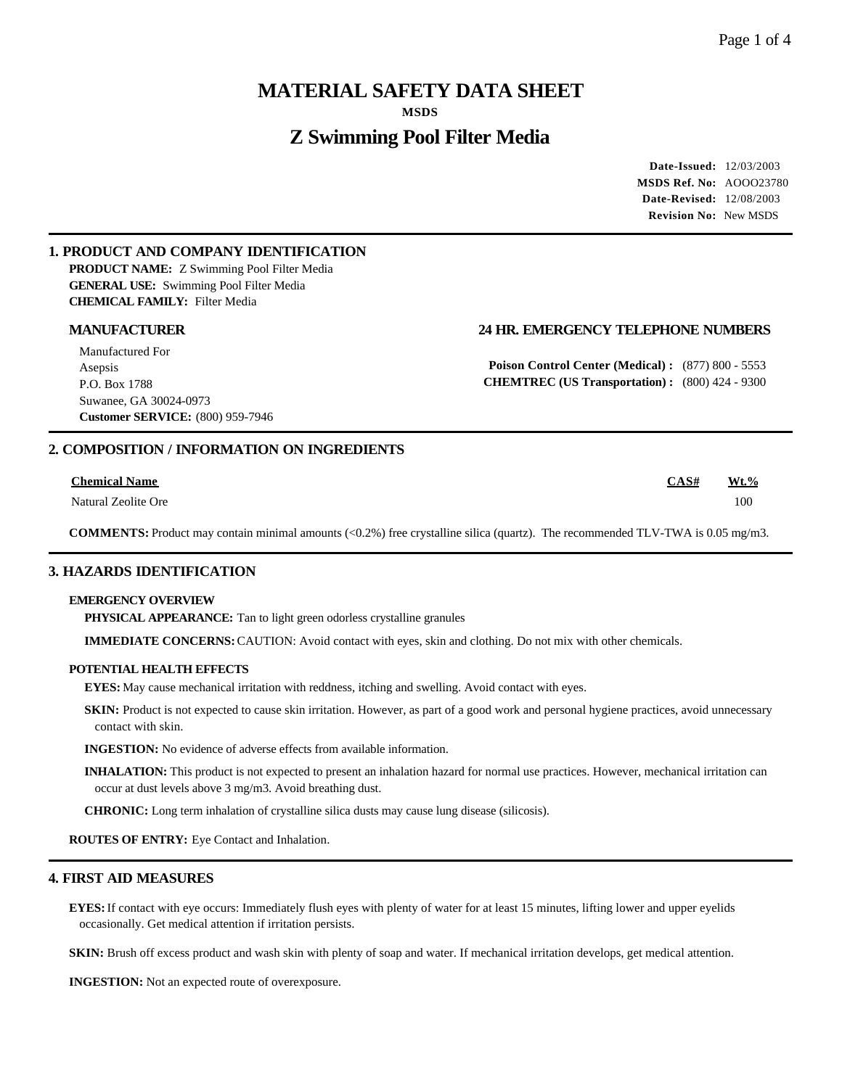# **MATERIAL SAFETY DATA SHEET**

**MSDS**

# **Z Swimming Pool Filter Media**

**Date-Issued:** 12/03/2003 **MSDS Ref. No:** AOOO23780 **Date-Revised:** 12/08/2003 **Revision No:** New MSDS

# **1. PRODUCT AND COMPANY IDENTIFICATION**

**PRODUCT NAME:** Z Swimming Pool Filter Media **CHEMICAL FAMILY:** Filter Media

Manufactured For Asepsis P.O. Box 1788 Suwanee, GA 30024-0973 **Customer SERVICE:** (800) 959-7946

# **MANUFACTURER 24 HR. EMERGENCY TELEPHONE NUMBERS**

**Poison Control Center (Medical) :** (877) 800 - 5553 **CHEMTREC (US Transportation) :** (800) 424 - 9300

# **2. COMPOSITION / INFORMATION ON INGREDIENTS**

#### **Chemical Name CAS# Wt.%**

Natural Zeolite Ore 100

**COMMENTS:** Product may contain minimal amounts (<0.2%) free crystalline silica (quartz). The recommended TLV-TWA is 0.05 mg/m3.

## **3. HAZARDS IDENTIFICATION**

#### **EMERGENCY OVERVIEW**

**PHYSICAL APPEARANCE:** Tan to light green odorless crystalline granules

**IMMEDIATE CONCERNS:** CAUTION: Avoid contact with eyes, skin and clothing. Do not mix with other chemicals.

#### **POTENTIAL HEALTH EFFECTS**

**EYES:** May cause mechanical irritation with reddness, itching and swelling. Avoid contact with eyes.

**SKIN:** Product is not expected to cause skin irritation. However, as part of a good work and personal hygiene practices, avoid unnecessary contact with skin.

**INGESTION:** No evidence of adverse effects from available information.

**INHALATION:** This product is not expected to present an inhalation hazard for normal use practices. However, mechanical irritation can occur at dust levels above 3 mg/m3. Avoid breathing dust.

**CHRONIC:** Long term inhalation of crystalline silica dusts may cause lung disease (silicosis).

**ROUTES OF ENTRY:** Eye Contact and Inhalation.

# **4. FIRST AID MEASURES**

**EYES:** If contact with eye occurs: Immediately flush eyes with plenty of water for at least 15 minutes, lifting lower and upper eyelids occasionally. Get medical attention if irritation persists.

**SKIN:** Brush off excess product and wash skin with plenty of soap and water. If mechanical irritation develops, get medical attention.

**INGESTION:** Not an expected route of overexposure.

# **GENERAL USE:** Swimming Pool Filter Media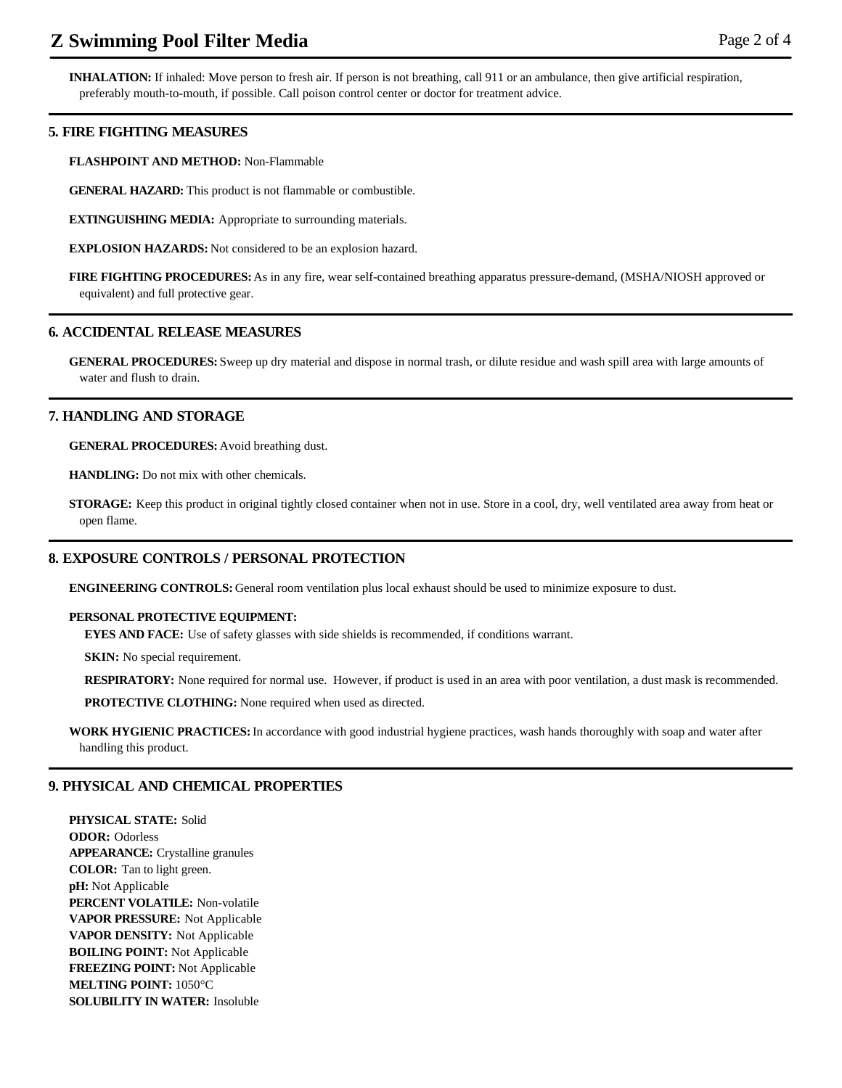**INHALATION:** If inhaled: Move person to fresh air. If person is not breathing, call 911 or an ambulance, then give artificial respiration, preferably mouth-to-mouth, if possible. Call poison control center or doctor for treatment advice.

# **5. FIRE FIGHTING MEASURES**

**FLASHPOINT AND METHOD:** Non-Flammable

**GENERAL HAZARD:** This product is not flammable or combustible.

**EXTINGUISHING MEDIA:** Appropriate to surrounding materials.

**EXPLOSION HAZARDS:** Not considered to be an explosion hazard.

**FIRE FIGHTING PROCEDURES:** As in any fire, wear self-contained breathing apparatus pressure-demand, (MSHA/NIOSH approved or equivalent) and full protective gear.

# **6. ACCIDENTAL RELEASE MEASURES**

**GENERAL PROCEDURES:** Sweep up dry material and dispose in normal trash, or dilute residue and wash spill area with large amounts of water and flush to drain.

# **7. HANDLING AND STORAGE**

**GENERAL PROCEDURES:** Avoid breathing dust.

**HANDLING:** Do not mix with other chemicals.

**STORAGE:** Keep this product in original tightly closed container when not in use. Store in a cool, dry, well ventilated area away from heat or open flame.

# **8. EXPOSURE CONTROLS / PERSONAL PROTECTION**

**ENGINEERING CONTROLS:** General room ventilation plus local exhaust should be used to minimize exposure to dust.

## **PERSONAL PROTECTIVE EQUIPMENT:**

**EYES AND FACE:** Use of safety glasses with side shields is recommended, if conditions warrant.

**SKIN:** No special requirement.

**RESPIRATORY:** None required for normal use. However, if product is used in an area with poor ventilation, a dust mask is recommended.

**PROTECTIVE CLOTHING:** None required when used as directed.

**WORK HYGIENIC PRACTICES:** In accordance with good industrial hygiene practices, wash hands thoroughly with soap and water after handling this product.

# **9. PHYSICAL AND CHEMICAL PROPERTIES**

**PHYSICAL STATE:** Solid **ODOR:** Odorless **APPEARANCE:** Crystalline granules **COLOR:** Tan to light green. **pH:** Not Applicable **PERCENT VOLATILE:** Non-volatile **VAPOR PRESSURE:** Not Applicable **VAPOR DENSITY:** Not Applicable **BOILING POINT:** Not Applicable **FREEZING POINT:** Not Applicable **MELTING POINT:** 1050°C **SOLUBILITY IN WATER:** Insoluble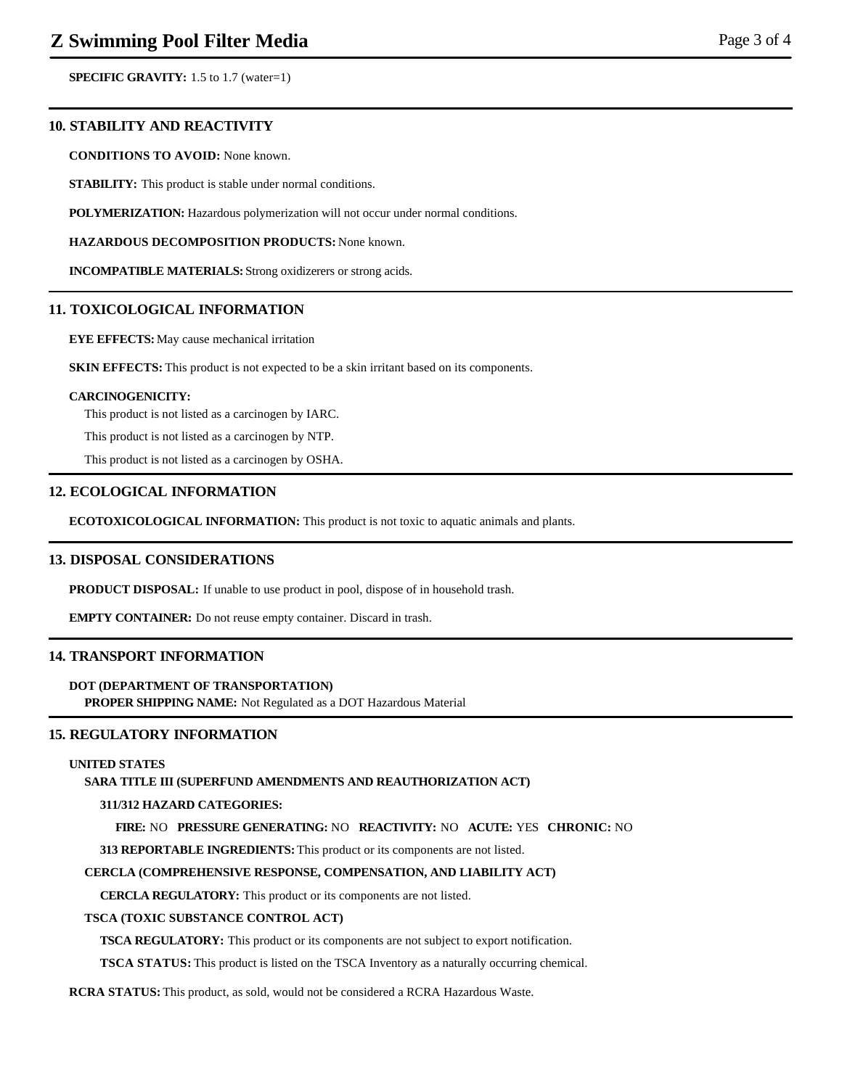**SPECIFIC GRAVITY:** 1.5 to 1.7 (water=1)

# **10. STABILITY AND REACTIVITY**

**CONDITIONS TO AVOID:** None known.

**STABILITY:** This product is stable under normal conditions.

**POLYMERIZATION:** Hazardous polymerization will not occur under normal conditions.

**HAZARDOUS DECOMPOSITION PRODUCTS:** None known.

**INCOMPATIBLE MATERIALS:** Strong oxidizerers or strong acids.

# **11. TOXICOLOGICAL INFORMATION**

**EYE EFFECTS:** May cause mechanical irritation

**SKIN EFFECTS:** This product is not expected to be a skin irritant based on its components.

#### **CARCINOGENICITY:**

This product is not listed as a carcinogen by IARC.

This product is not listed as a carcinogen by NTP.

This product is not listed as a carcinogen by OSHA.

# **12. ECOLOGICAL INFORMATION**

**ECOTOXICOLOGICAL INFORMATION:** This product is not toxic to aquatic animals and plants.

# **13. DISPOSAL CONSIDERATIONS**

**PRODUCT DISPOSAL:** If unable to use product in pool, dispose of in household trash.

**EMPTY CONTAINER:** Do not reuse empty container. Discard in trash.

## **14. TRANSPORT INFORMATION**

**DOT (DEPARTMENT OF TRANSPORTATION) PROPER SHIPPING NAME:** Not Regulated as a DOT Hazardous Material

# **15. REGULATORY INFORMATION**

#### **UNITED STATES**

**SARA TITLE III (SUPERFUND AMENDMENTS AND REAUTHORIZATION ACT)**

## **311/312 HAZARD CATEGORIES:**

**FIRE:** NO **PRESSURE GENERATING:** NO **REACTIVITY:** NO **ACUTE:** YES **CHRONIC:** NO

**313 REPORTABLE INGREDIENTS:** This product or its components are not listed.

#### **CERCLA (COMPREHENSIVE RESPONSE, COMPENSATION, AND LIABILITY ACT)**

**CERCLA REGULATORY:** This product or its components are not listed.

#### **TSCA (TOXIC SUBSTANCE CONTROL ACT)**

**TSCA REGULATORY:** This product or its components are not subject to export notification.

**TSCA STATUS:** This product is listed on the TSCA Inventory as a naturally occurring chemical.

#### **RCRA STATUS:** This product, as sold, would not be considered a RCRA Hazardous Waste.